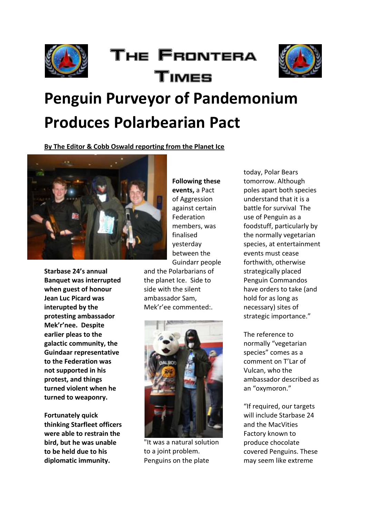

## The Frontera Times



# **Penguin Purveyor of Pandemonium Produces Polarbearian Pact**

**By The Editor & Cobb Oswald reporting from the Planet Ice**



**Starbase 24's annual Banquet was interrupted when guest of honour Jean Luc Picard was interupted by the protesting ambassador Mek'r'nee. Despite earlier pleas to the galactic community, the Guindaar representative to the Federation was not supported in his protest, and things turned violent when he turned to weaponry.** 

**Fortunately quick thinking Starfleet officers were able to restrain the bird, but he was unable to be held due to his diplomatic immunity.** 

**Following these events,** a Pact of Aggression against certain Federation members, was finalised yesterday between the Guindarr people

and the Polarbarians of the planet Ice. Side to side with the silent ambassador Sam, Mek'r'ee commented:.



"It was a natural solution to a joint problem. Penguins on the plate

today, Polar Bears tomorrow. Although poles apart both species understand that it is a battle for survival The use of Penguin as a foodstuff, particularly by the normally vegetarian species, at entertainment events must cease forthwith, otherwise strategically placed Penguin Commandos have orders to take (and hold for as long as necessary) sites of strategic importance."

The reference to normally "vegetarian species" comes as a comment on T'Lar of Vulcan, who the ambassador described as an "oxymoron."

"If required, our targets will include Starbase 24 and the MacVities Factory known to produce chocolate covered Penguins. These may seem like extreme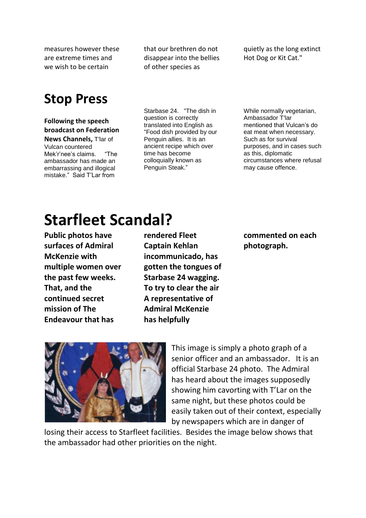measures however these are extreme times and we wish to be certain

that our brethren do not disappear into the bellies of other species as

quietly as the long extinct Hot Dog or Kit Cat."

### **Stop Press**

#### **Following the speech broadcast on Federation News Channels,** T'lar of Vulcan countered Mek'r'nee's claims. "The

ambassador has made an embarrassing and illogical mistake." Said T'Lar from

Starbase 24. "The dish in question is correctly translated into English as "Food dish provided by our Penguin allies. It is an ancient recipe which over time has become colloquially known as Penguin Steak."

While normally vegetarian, Ambassador T'lar mentioned that Vulcan's do eat meat when necessary. Such as for survival purposes, and in cases such as this, diplomatic circumstances where refusal may cause offence.

## **Starfleet Scandal?**

**Public photos have surfaces of Admiral McKenzie with multiple women over the past few weeks. That, and the continued secret mission of The Endeavour that has** 

**rendered Fleet Captain Kehlan incommunicado, has gotten the tongues of Starbase 24 wagging. To try to clear the air A representative of Admiral McKenzie has helpfully** 

**commented on each photograph.** 



This image is simply a photo graph of a senior officer and an ambassador. It is an official Starbase 24 photo. The Admiral has heard about the images supposedly showing him cavorting with T'Lar on the same night, but these photos could be easily taken out of their context, especially by newspapers which are in danger of

losing their access to Starfleet facilities. Besides the image below shows that the ambassador had other priorities on the night.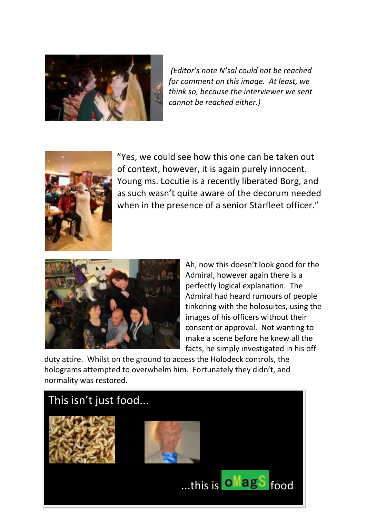

*(Editor's note N'sal could not be reached for comment on this image. At least, we think so, because the interviewer we sent cannot be reached either.)* 



"Yes, we could see how this one can be taken out of context, however, it is again purely innocent. Young ms. Locutie is a recently liberated Borg, and as such wasn't quite aware of the decorum needed when in the presence of a senior Starfleet officer."



Ah, now this doesn't look good for the Admiral, however again there is a perfectly logical explanation. The Admiral had heard rumours of people tinkering with the holosuites, using the images of his officers without their consent or approval. Not wanting to make a scene before he knew all the facts, he simply investigated in his off

duty attire. Whilst on the ground to access the Holodeck controls, the holograms attempted to overwhelm him. Fortunately they didn't, and normality was restored.